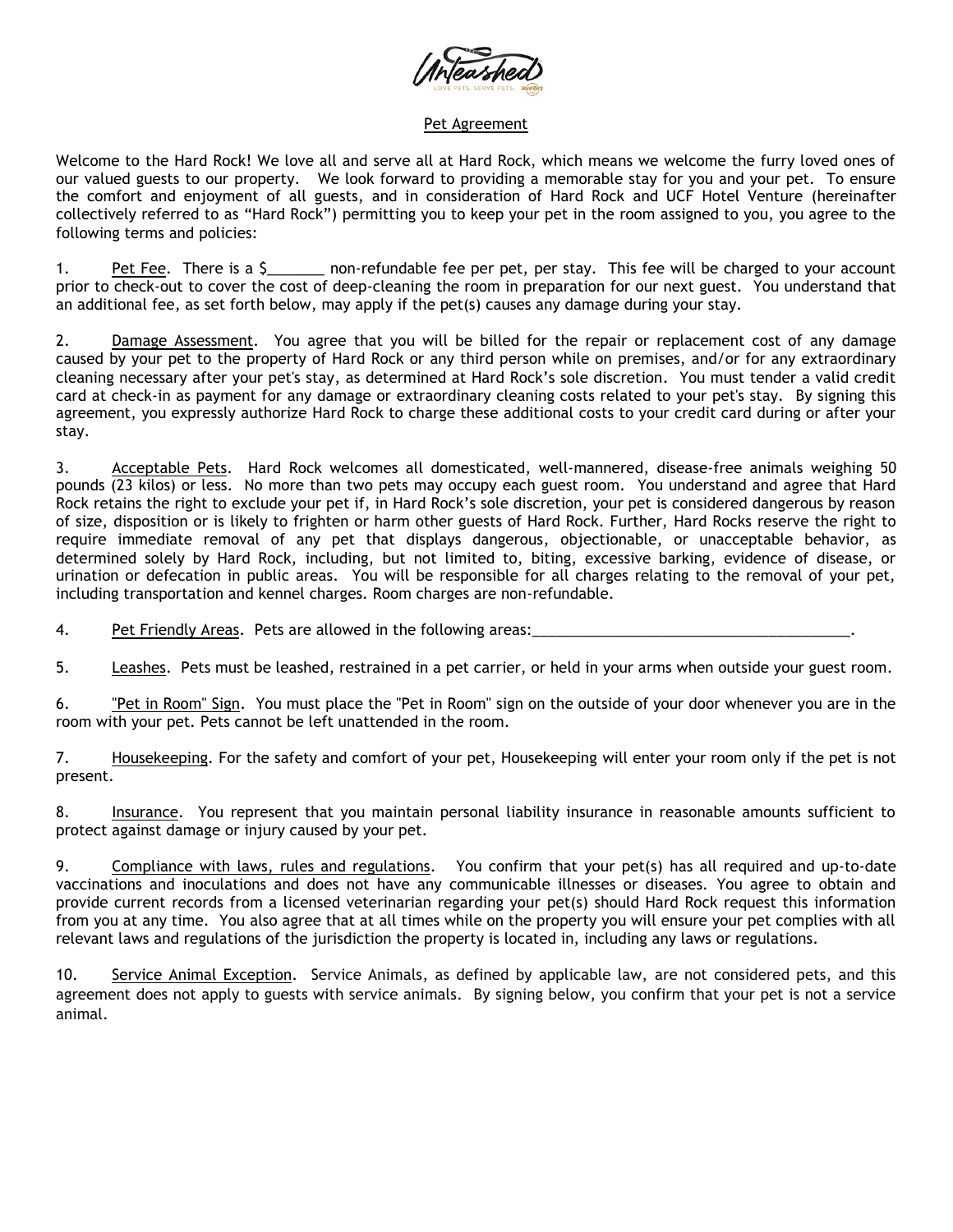

## Pet Agreement

Welcome to the Hard Rock! We love all and serve all at Hard Rock, which means we welcome the furry loved ones of our valued guests to our property. We look forward to providing a memorable stay for you and your pet. To ensure the comfort and enjoyment of all guests, and in consideration of Hard Rock and UCF Hotel Venture (hereinafter collectively referred to as "Hard Rock") permitting you to keep your pet in the room assigned to you, you agree to the following terms and policies:

1. Pet Fee. There is a \$\_\_\_\_\_\_ non-refundable fee per pet, per stay. This fee will be charged to your account prior to check-out to cover the cost of deep-cleaning the room in preparation for our next guest. You understand that an additional fee, as set forth below, may apply if the pet(s) causes any damage during your stay.

2. Damage Assessment. You agree that you will be billed for the repair or replacement cost of any damage caused by your pet to the property of Hard Rock or any third person while on premises, and/or for any extraordinary cleaning necessary after your pet's stay, as determined at Hard Rock's sole discretion. You must tender a valid credit card at check-in as payment for any damage or extraordinary cleaning costs related to your pet's stay. By signing this agreement, you expressly authorize Hard Rock to charge these additional costs to your credit card during or after your stay.

3. Acceptable Pets. Hard Rock welcomes all domesticated, well-mannered, disease-free animals weighing 50 pounds (23 kilos) or less. No more than two pets may occupy each guest room. You understand and agree that Hard Rock retains the right to exclude your pet if, in Hard Rock's sole discretion, your pet is considered dangerous by reason of size, disposition or is likely to frighten or harm other guests of Hard Rock. Further, Hard Rocks reserve the right to require immediate removal of any pet that displays dangerous, objectionable, or unacceptable behavior, as determined solely by Hard Rock, including, but not limited to, biting, excessive barking, evidence of disease, or urination or defecation in public areas. You will be responsible for all charges relating to the removal of your pet, including transportation and kennel charges. Room charges are non-refundable.

4. Pet Friendly Areas. Pets are allowed in the following areas:

5. Leashes. Pets must be leashed, restrained in a pet carrier, or held in your arms when outside your guest room.

6. "Pet in Room" Sign. You must place the "Pet in Room" sign on the outside of your door whenever you are in the room with your pet. Pets cannot be left unattended in the room.

7. Housekeeping. For the safety and comfort of your pet, Housekeeping will enter your room only if the pet is not present.

8. Insurance. You represent that you maintain personal liability insurance in reasonable amounts sufficient to protect against damage or injury caused by your pet.

9. Compliance with laws, rules and regulations. You confirm that your pet(s) has all required and up-to-date vaccinations and inoculations and does not have any communicable illnesses or diseases. You agree to obtain and provide current records from a licensed veterinarian regarding your pet(s) should Hard Rock request this information from you at any time. You also agree that at all times while on the property you will ensure your pet complies with all relevant laws and regulations of the jurisdiction the property is located in, including any laws or regulations.

10. Service Animal Exception. Service Animals, as defined by applicable law, are not considered pets, and this agreement does not apply to guests with service animals. By signing below, you confirm that your pet is not a service animal.